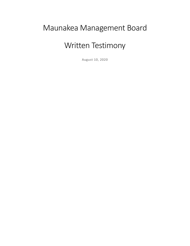# Maunakea Management Board

# Written Testimony

August 10, 2020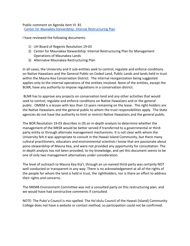Public comment on Agenda item VI. B1 Center for Maunakea Stewardship: Internal Restructuring Plan

I have reviewed the following documents:

- 1) UH Board of Regents Resolution 19-03
- 2) Center for Maunakea Stewardship: Internal Restructuring Plan for Management Operations of Maunakea Lands
- 3) Alternatve Maunakea Restructuring Plan

In all cases, the University and it sub-entities seek to control, regulate and enforce conditions on Native Hawaiians and the General Public on Ceded Land, Public Lands and lands held in trust within the Mauna Kea Conservation District. The internal reorganization being suggested applies only to the internal operations of the entities involved. None of the entities, except the BLNR, have any authority to impose regulations in a conservation district.

BLNR has to approve any projects on conservation land and any other activities that would seek to control, regulate and enforce conditions on Native Hawaiians and or the general public. OMKM is a lessee with less than 13 years remaining on the lease. The right-holders are the Native Hawaiians and the general public to whom the trust responsibilities apply. The State agencies do not have the authority to limit or restrict Native Hawaiians and the general public.

The BOR Resolution 19-03 describes in (9) an in-depth analysis to determine whether the management of the MKSR would be better served if transferred to a governmental or thirdparty entity or through alternate management mechanisms. It is not clear with whom the University felt it was appropriate to consult in the Hawaii Island Community, but there many cultural practitioners, educators and environmental scientists I know that are passionate about pono stewardship of Mauna Kea, and were not provided any opportunity for consultation. The in-depth analysis has not been provided, to my knowledge, and yet this document seems to be one of only two management alternatives under consideration.

The level of outreach to Mauna Kea Kia'I, through an un-named third-party was certainly NOT well conducted or transparent in any way. There is no acknowledgement at all of the rights of the people for whom the land is held in trust, the rightholders, nor is there an effort to address their rights and concerns.

The MKMB Environment Committee was not a consulted party on this restructuring plan, and we would have had constructive comments if consulted.

NOTE: The Puko'a Council is mis-spelled. The Ho'olulu Council of the Hawaii (Island) Community College does not have a website or contact method, so participation could not be confirmed.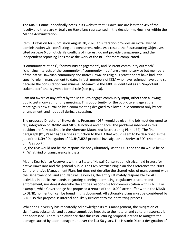The Kuali'i Council specifically notes in its website that " Hawaiians are less than 4% of the faculty and there are virtually no Hawaiians represented in the decision-making lines within the Mānoa Administration.

Item B1 revision for submission August 20, 2020: this iteration provides an extra layer of administration with conflicting and concurrent roles. As a result, the Restructuring Objectives cited on page 6 do not clarify conflicts of interest, do not provide transparency, and the independent reporting lines make the work of the BOR far more complicated.

"Community relations", "community engagement", and "current community outreach". "changing interests of the community", "community input" are given lip-service but members of the native Hawaiian community and native Hawaiian religious practitioners have had little specific role in management to date. In fact, members of KKM who have resigned have done so because the consultation was minimal. Meanwhile the MKO is identified as an "important stakeholder" and is given a formal role (see page 10).

I am not aware of any effort by the MKMB to engage community input, other than allowing public testimony at monthly meetings. This opportunity for the public to engage at the meetings is now curtailed by a Zoom meeting designed to allow public comment only by prearrangement, and not at all during discussion.

The proposed Director of Stewardship Programs (DSP) would be given the job most designed to fail; integration of OMKM and MKSS functions and finance. The problems inherent in this position are fully outlined in the Alternate Maunakea Restructuring Plan (#B2). The final paragraph (B1, Page 14) describes a function to the ED that would seem to be described as the job of the DSP: "Delegation of RCUH/MKSS principal investigator authority to ED". (No mention of IfA as co-PI)

So, the DSP would not be the responsible body ultimately, as the OED and the Ifa would be co-PI. What kind of transparency is that?

Mauna Kea Science Reserve is within a State of Hawaii Conservation district, held in trust for native Hawaiians and the general public. The CMS restructuring plan does reference the 2009 Comprehensive Management Plans but does not describe the shared roles of management with the Department of Land and Natural Resources, the entity ultimately responsible for ALL activities in public trust lands, regarding planning, permitting, regulatory structure and enforcement, nor does it describe the entities responsible for communication with DLNR. For example, while Governor Ige has proposed a return of the 10,000 acre buffer within the MKSR to DLNR, no mention can be found in this document. All actionable plans must be considered by BLNR, so this proposal is internal and likely irrelevant to the permitting process.

While the University has repeatedly acknowledged its mis-management, the mitigation of significant, substantial and adverse cumulative impacts to the natural and cultural resources is not addressed. There is no evidence that this restructuring proposal intends to mitigate the damage caused by poor management over the last 50 years. The Historic District designation of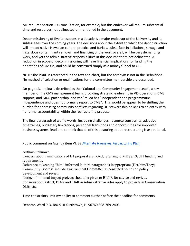MK requires Section 106 consultation, for example, but this endeavor will require substantial time and resources not delineated or mentioned in the document.

Decommissioning of five telescopes in a decade is a major endeavor of the University and its sublesseees over the coming years. The decisions about the extent to which the deconstruction will impact native Hawaiian cultural practice and burials, subsurface installations, sewage and hazardous contaminant removal, and financing of the work overall, will be very demanding work, and yet the administrative responsibilities in this document are not delineated. A reduction in scope of decommissioning will have financial implications for funding the operations of OMKM, and could be construed simply as a money funnel to UH.

NOTE: the PDRC is referenced in the text and chart, but the acronym is not in the Definitions. No method of selection or qualifications for the committee membership are described.

On page 13, 'Imiloa is described as the "Cultural and Community Engagement Lead", a key member of the CMS management team, providing strategic leadership in VIS operations, CMS support, and MKO partnership, and yet 'Imiloa has "independent and programmatic independence and does not formally report to CMS". This would be appear to be shifting the burden for addressing community conflicts regarding UH stewardship policies to an entity with no formal accountability within the restructuring proposal.

The final paragraph of waffle words, including challenges, resource constraints, adaptive timeframes, budgetary limitations, personnel transitions and opportunities for improved business systems, lead one to think that all of this posturing about restructuring is aspirational.

Public comment on Agenda item VI. B2 Alternate Maunakea Restructuring Plan

Authors unknown.

Concern about ramifications of B1 proposal are noted, referring to MKSS/RCUH funding and requirements.

Reference to keeping "him" informed in third paragraph is inappropriate.(Her/him/They) Community Boards: include Environment Committee as consulted parties on policy development and review

Notice of minimal impact projects should be given to BLNR for advice and review. Conservation District, DLNR and HAR re Administrative rules apply to projects in Conservation Disitricts.

Time constraints limit my ability to comment further before the deadline for comments.

Deborah Ward P.O. Box 918 Kurtistown, HI 96760 808-769-2403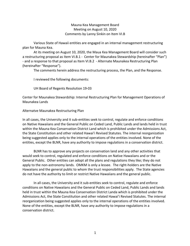# Mauna Kea Management Board Meeting on August 10, 2020 Comments by Lanny Sinkin on Item VI.B

Various State of Hawaii entities are engaged in an internal management restructuring plan for Mauna Kea.

At its meeting on August 10, 2020, the Maua Kea Management Board will consider such a restructuring proposal as Item VI.B.1 - Center for Maunakea Stewardship (hereinafter "Plan") - and a response to that proposal as Item VI.B.2 - Alternate Maunakea Restructuring Plan (hereinafter "Response").

The comments herein address the restructuring process, the Plan, and the Response.

I reviewed the following documents:

UH Board of Regents Resolution 19-03

Center for Maunakea Stewardship: Internal Restructuring Plan for Management Operations of Maunakea Lands

#### Alternatve Maunakea Restructuring Plan

In all cases, the University and it sub-entities seek to control, regulate and enforce conditions on Native Hawaiians and the General Public on Ceded Land, Public Lands and lands held in trust within the Mauna Kea Conservation District Land which is prohibited under the Admissions Act, the State Constitution and other related Hawai'i Revised Statutes. The internal reorganization being suggested applies only to the internal operations of the entities involved. None of the entities, except the BLNR, have any authority to impose regulations in a conservation district.

BLNR has to approve any projects on conservation land and any other activities that would seek to control, regulated and enforce conditions on Native Hawaiians and or the General Public. Other entities can adopt all the plans and regulations they like; they do not apply to the non-astronomy lands. OMKM is only a lessee. The right-holders are the Native Hawaiians and the general public to whom the trust responsibilities apply. The State agencies do not have the authority to limit or restrict Native Hawaiians and the general public.

In all cases, the University and it sub-entities seek to control, regulate and enforce conditions on Native Hawaiians and the General Public on Ceded Land, Public Lands and lands held in trust within the Mauna Kea Conservation District Landa which is prohibited under the Admissions Act, the State Constitution and other related Hawai'i Revised Statutes. The internal reorganization being suggested applies only to the internal operations of the entities involved. None of the entities, except the BLNR, have any authority to impose regulations in a conservation district.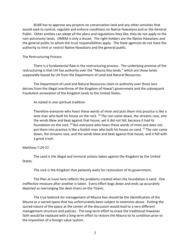BLNR has to approve any projects on conservation land and any other activities that would seek to control, regulate and enforce conditions on Native Hawaiians and or the General Public. Other entities can adopt all the plans and regulations they like; they do not apply to the non-astronomy lands. OMKM is only a lessee. The right-holders are the Native Hawaiians and the general public to whom the trust responsibilities apply. The State agencies do not have the authority to limit or restrict Native Hawaiians and the general public.

#### The Restructuring Process

There is a fundamental flaw in the restructuring process. The underlying premise of the restructuring is that UH has authority over the "Mauna Kea lands," which are those lands supposedly leased by UH from the Department of Land and Natural Resources.

The Department of Land and Natural Resources claim to authority over those lans derives from the illegal overthrow of the Kingdom of Hawai'i government and the subsequent fraudulent annexation of the Kingdom lands to the United States.

As stated in one spiritual tradition.

Therefore everyone who hears these words of mine and puts them into practice is like a wise man who built his house on the rock. <sup>25</sup> The rain came down, the streams rose, and the winds blew and beat against that house; yet it did not fall, because it had its foundation on the rock. <sup>26</sup> But everyone who hears these words of mine and does not put them into practice is like a foolish man who built his house on sand.  $27$  The rain came down, the streams rose, and the winds blew and beat against that house, and it fell with a great crash.

## Matthew 7:24-27.

The sand is the illegal and immoral actions taken against the Kingdom by the United States.

The rock is the Kingdom that patiently waits for restoration of its government.

The Plan at issue here reflects the problems created when the foundation is sand. One ineffective measure after another is taken. Every effort bogs down and ends up accurately depicted as rearranging the deck chairs on the Titanic.

The true bedrock for management of Mauna Kea should be the identification of the Mauna as a sacred space that has unfortunately been subject to extensive abuse. Putting the sacred nature of the space at the center of the discussion would lead to a very different management structure and policies. The long term effort to erase the traditional Hawaiian faith would be replaced with a long term effort to restore the Mauna to its condition prior to the imposition of a foreign value system.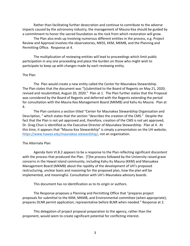Rather than facilitating further desecration and continue to contribute to the adverse impacts caused by the astronomy industry, the management of Mauna Kea should be guided by a commitment to honor the sacred foundation as the rock from which restoration will grow.

The Plan also ends up involving numerous different entities in the process, e.g. Project Review and Approval involves the observatories, MKSS, KKM, MKMB, and the Planning and Permitting Office. Response at 4.

The multiplication of reviewing entities will lead to proceedings which limit public participation in any one proceeding and place the burden on those who might wish to participate to keep up with changes made by each reviewing entity.

#### The Plan

The Plan would create a new entity called the Center for Maunakea Stewardship. The Plan states that the document was "[s]ubmitted to the Board of Regents on May 21, 2020; revised and resubmitted, August 20, 2020." Plan at 1. The Plan further states that the Proposal was considered by the Board of Regents and deferred with the Regents extending the period for consultation with the Mauna Kea Management Board (MKMB) and Kahu Ku Mauna. Plan at 4.

The Plan contains a section titled "Center for Maunakea Stewardship Organization and Description, " which states that the section "describes the creation of the CMS." Despite the fact that the Plan is not yet approved and, therefore, creation of the CMS is not yet approved, Dr. Greg Chun is identified as the Executive Director of Maunakea Stewardship. Plan at 4. At this time, it appears that "Mauna Kea Stewardship" is simply a presentation on the UH website, https://www.hawaii.edu/maunakea-stewardship/, not an organization.

## The Alternate Plan

Agenda Item VI.B.2 appears to be a response to the Plan reflecting significant discontent with the process that produced the Plan. [T]he process followed by the University raised grave concerns in the Hawaii Island community, including Kahu Ku Mauna (KKM) and Manuakea Management Board (MKMB) about the rapidity of the development of UH's proposed restructuring, unclear basis and reasoning for the proposed plan, how the plan will be implemented, and meaningful. Consultation with UH's Maunakea advisory boards.

This document has no identification as to its origin or authors.

The Response proposes a Planning and Permitting Office that "prepares project proposals for submittal to the KKM, MKMB, and Environmental committee (when appropriate); prepares DLNR permit application; representative before BLNR when needed." Response at 2.

This delegation of project proposal preparation to the agency, rather than the proponent, would seem to create significant potential for conflicting interest.